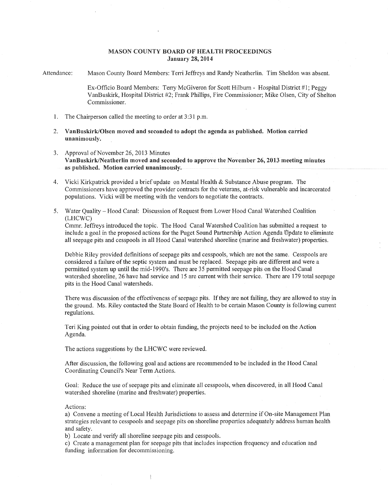## MASON COUNTY BOARD OF HEALTH PROCEEDINGS January 28, 2014

Attendance: Mason County Board Members: Terri Jeffreys and Randy Neatherlin. Tim Sheldon was absent.

> Ex-Officio Board Members: Terry McGiveron for Scott Hilburn - Hospital District #1; Peggy VanBuskirk, Hospital District #2; Frank Phillips, Fire Commissioner; Mike Olsen, City of Shelton Commissioner.

- 1. The Chairperson called the meeting to order at 3:31 p.m.
- 2. VanBuskirk/Olsen moved and seconded to adopt the agenda as published. Motion carried unanimously.
- 3. Approval of November 26, 2013 Minutes VanBuskirk/Neatherlin moved and seconded to approve the November 26, 2013 meeting minutes as published. Motion carried unanimously.
- 4. Vicki Kirkpatrick provided a brief update on Mental Health & Substance Abuse program. The Commissioners have approved the provider contracts for the veterans, at-risk vulnerable and incarcerated populations. Vicki will be meeting with the vendors to negotiate the contracts.
- 5. Water Quality- Hood Canal: Discussion of Request from Lower Hood Canal Watershed Coalition (LHCWC)

Cmmr. Jeffreys introduced the topic. The Hood Canal Watershed Coalition has submitted a request to include a goal in the proposed actions for the Puget Sound Partnership Action Agenda Update to eliminate all seepage pits and cesspools in all Hood Canal watershed shoreline (marine and freshwater) properties.

Debbie Riley provided definitions of seepage pits and cesspools, which are not the same. Cesspools are considered a failure of the septic system and must be replaced. Seepage pits are different and were a permitted system up until the mid-1990's. There are 35 permitted seepage pits on the Hood Canal watershed shoreline, 26 have had service and 15 are current with their service. There are 179 total seepage pits in the Hood Canal watersheds.

There was discussion of the effectiveness of seepage pits. If they are not failing, they are allowed to stay in the ground. Ms. Riley contacted the State Board of Health to be certain Mason County is following current regulations.

Teri King pointed out that in order to obtain funding, the projects need to be included on the Action Agenda.

The actions suggestions by the LHCWC were reviewed.

After discussion, the following goal and actions are recommended to be included in the Hood Canal Coordinating Council's Near Term Actions.

Goal: Reduce the use of seepage pits and eliminate all cesspools, when discovered, in all Hood Canal watershed shoreline (marine and freshwater) properties.

Actions:

a) Convene a meeting of Local Health Jurisdictions to assess and determine if On-site Management Plan strategies relevant to cesspools and seepage pits on shoreline properties adequately address human health and safety.

b) Locate and verify all shoreline seepage pits and cesspools.

 $\frac{1}{2}$ 

c) Create a management plan for seepage pits that includes inspection frequency and education and funding information for decommissioning.